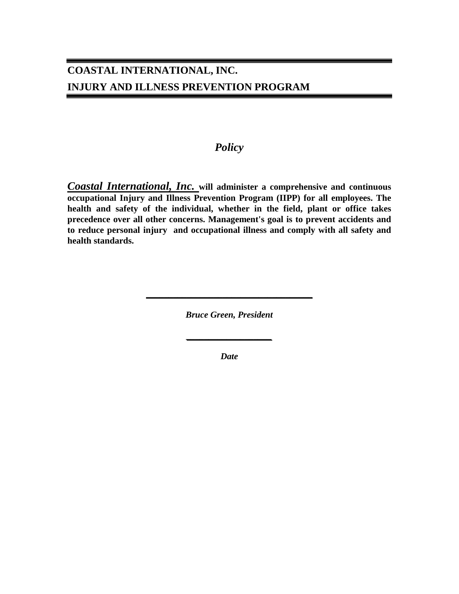### *Policy*

*Coastal International, Inc.* **will administer a comprehensive and continuous occupational Injury and Illness Prevention Program (IIPP) for all employees. The health and safety of the individual, whether in the field, plant or office takes precedence over all other concerns. Management's goal is to prevent accidents and to reduce personal injury and occupational illness and comply with all safety and health standards.**

*Bruce Green, President*

**\_\_\_\_\_\_\_\_\_\_\_\_\_\_\_\_\_\_\_\_\_\_\_\_\_\_\_\_\_\_\_\_\_\_\_\_\_**

*Date*

*\_\_\_\_\_\_\_\_\_\_\_\_\_\_\_\_\_\_\_*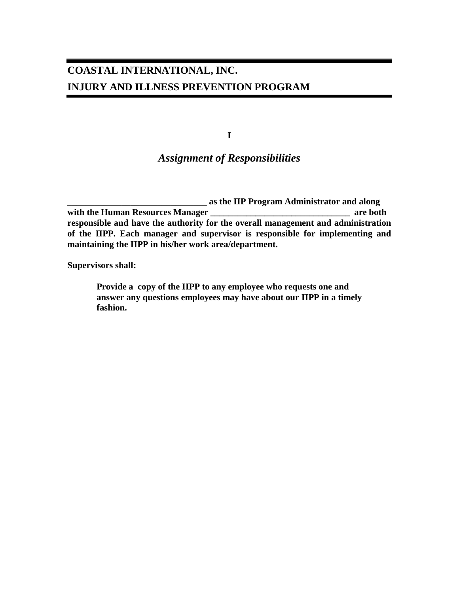**I**

### *Assignment of Responsibilities*

**\_\_\_\_\_\_\_\_\_\_\_\_\_\_\_\_\_\_\_\_\_\_\_\_\_\_\_\_\_\_\_ as the IIP Program Administrator and along with the Human Resources Manager \_\_\_\_\_\_\_\_\_\_\_\_\_\_\_\_\_\_\_\_\_\_\_\_\_\_\_\_\_\_\_ are both responsible and have the authority for the overall management and administration of the IIPP. Each manager and supervisor is responsible for implementing and maintaining the IIPP in his/her work area/department.**

**Supervisors shall:**

**Provide a copy of the IIPP to any employee who requests one and answer any questions employees may have about our IIPP in a timely fashion.**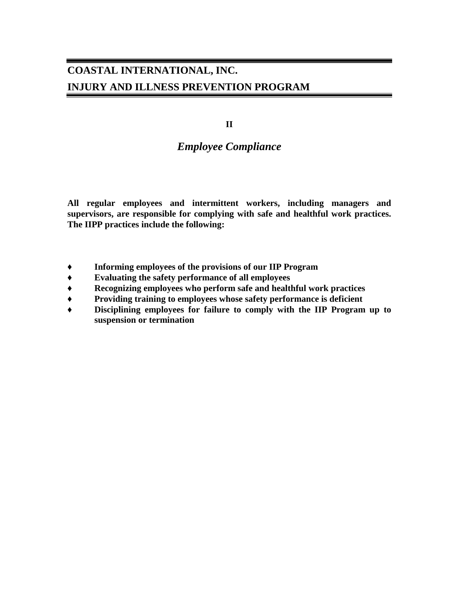**II**

### *Employee Compliance*

**All regular employees and intermittent workers, including managers and supervisors, are responsible for complying with safe and healthful work practices. The IIPP practices include the following:**

- **♦ Informing employees of the provisions of our IIP Program**
- **♦ Evaluating the safety performance of all employees**
- **♦ Recognizing employees who perform safe and healthful work practices**
- **♦ Providing training to employees whose safety performance is deficient**
- **♦ Disciplining employees for failure to comply with the IIP Program up to suspension or termination**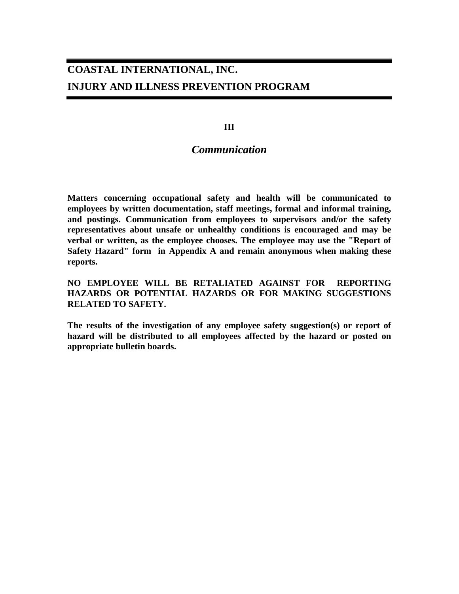**III**

### *Communication*

**Matters concerning occupational safety and health will be communicated to employees by written documentation, staff meetings, formal and informal training, and postings. Communication from employees to supervisors and/or the safety representatives about unsafe or unhealthy conditions is encouraged and may be verbal or written, as the employee chooses. The employee may use the "Report of Safety Hazard" form in Appendix A and remain anonymous when making these reports.**

**NO EMPLOYEE WILL BE RETALIATED AGAINST FOR REPORTING HAZARDS OR POTENTIAL HAZARDS OR FOR MAKING SUGGESTIONS RELATED TO SAFETY.**

**The results of the investigation of any employee safety suggestion(s) or report of hazard will be distributed to all employees affected by the hazard or posted on appropriate bulletin boards.**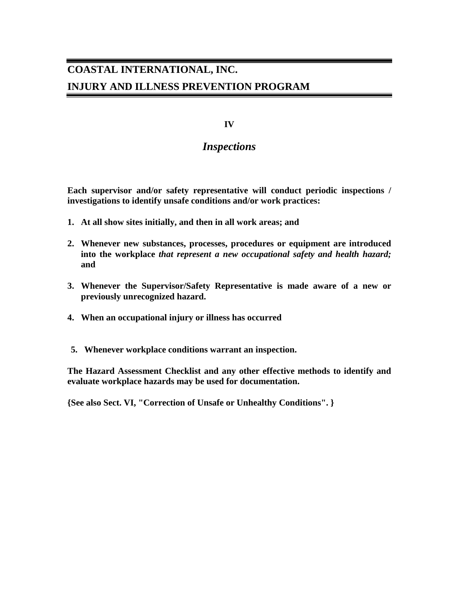#### **IV**

### *Inspections*

**Each supervisor and/or safety representative will conduct periodic inspections / investigations to identify unsafe conditions and/or work practices:**

- **1. At all show sites initially, and then in all work areas; and**
- **2. Whenever new substances, processes, procedures or equipment are introduced into the workplace** *that represent a new occupational safety and health hazard;* **and**
- **3. Whenever the Supervisor/Safety Representative is made aware of a new or previously unrecognized hazard.**
- **4. When an occupational injury or illness has occurred**
- **5. Whenever workplace conditions warrant an inspection.**

**The Hazard Assessment Checklist and any other effective methods to identify and evaluate workplace hazards may be used for documentation.**

**{See also Sect. VI, "Correction of Unsafe or Unhealthy Conditions". }**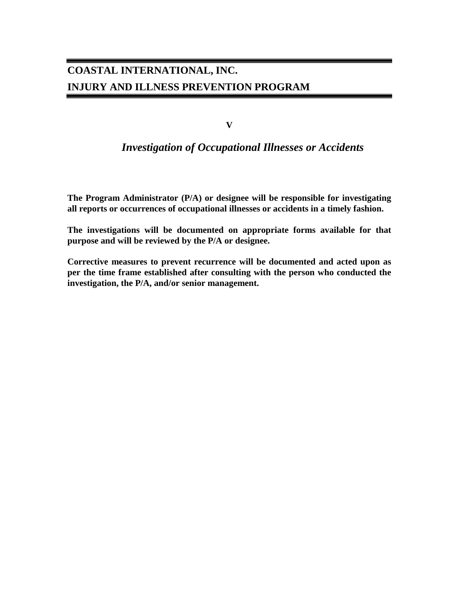**V**

### *Investigation of Occupational Illnesses or Accidents*

**The Program Administrator (P/A) or designee will be responsible for investigating all reports or occurrences of occupational illnesses or accidents in a timely fashion.**

**The investigations will be documented on appropriate forms available for that purpose and will be reviewed by the P/A or designee.**

**Corrective measures to prevent recurrence will be documented and acted upon as per the time frame established after consulting with the person who conducted the investigation, the P/A, and/or senior management.**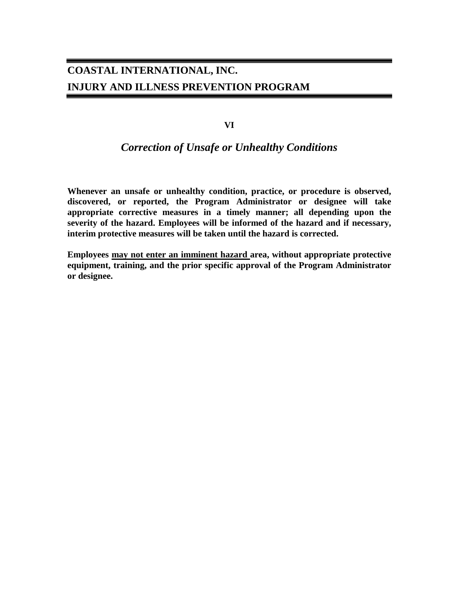**VI**

### *Correction of Unsafe or Unhealthy Conditions*

**Whenever an unsafe or unhealthy condition, practice, or procedure is observed, discovered, or reported, the Program Administrator or designee will take appropriate corrective measures in a timely manner; all depending upon the severity of the hazard. Employees will be informed of the hazard and if necessary, interim protective measures will be taken until the hazard is corrected.**

**Employees may not enter an imminent hazard area, without appropriate protective equipment, training, and the prior specific approval of the Program Administrator or designee.**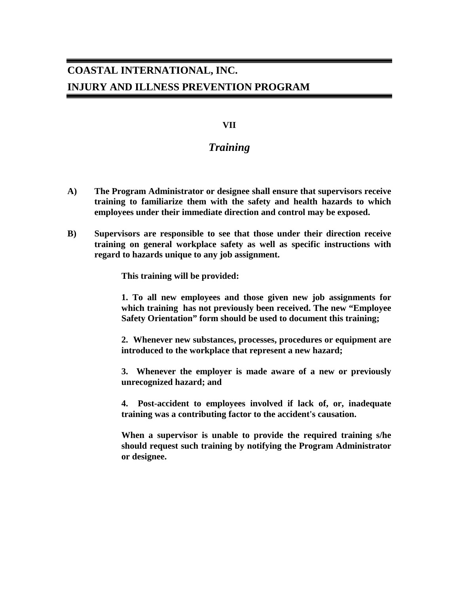#### **VII**

### *Training*

- **A) The Program Administrator or designee shall ensure that supervisors receive training to familiarize them with the safety and health hazards to which employees under their immediate direction and control may be exposed.**
- **B) Supervisors are responsible to see that those under their direction receive training on general workplace safety as well as specific instructions with regard to hazards unique to any job assignment.**

**This training will be provided:**

**1. To all new employees and those given new job assignments for which training has not previously been received. The new "Employee Safety Orientation" form should be used to document this training;**

**2. Whenever new substances, processes, procedures or equipment are introduced to the workplace that represent a new hazard;** 

**3. Whenever the employer is made aware of a new or previously unrecognized hazard; and** 

**4. Post-accident to employees involved if lack of, or, inadequate training was a contributing factor to the accident's causation.** 

**When a supervisor is unable to provide the required training s/he should request such training by notifying the Program Administrator or designee.**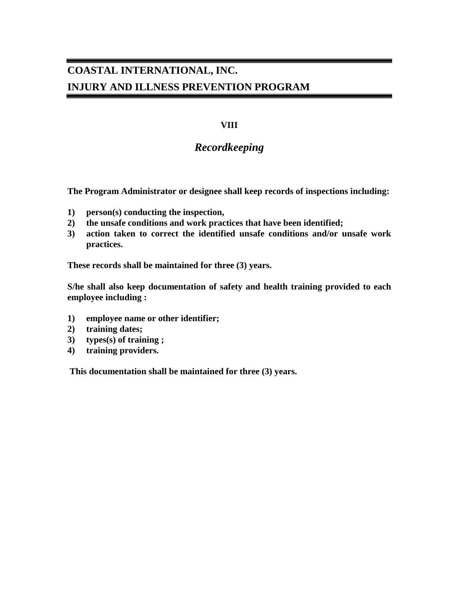### **VIII**

### *Recordkeeping*

**The Program Administrator or designee shall keep records of inspections including:**

- **1) person(s) conducting the inspection,**
- **2) the unsafe conditions and work practices that have been identified;**
- **3) action taken to correct the identified unsafe conditions and/or unsafe work practices.**

**These records shall be maintained for three (3) years.**

**S/he shall also keep documentation of safety and health training provided to each employee including :**

- **1) employee name or other identifier;**
- **2) training dates;**
- **3) types(s) of training ;**
- **4) training providers.**

**This documentation shall be maintained for three (3) years.**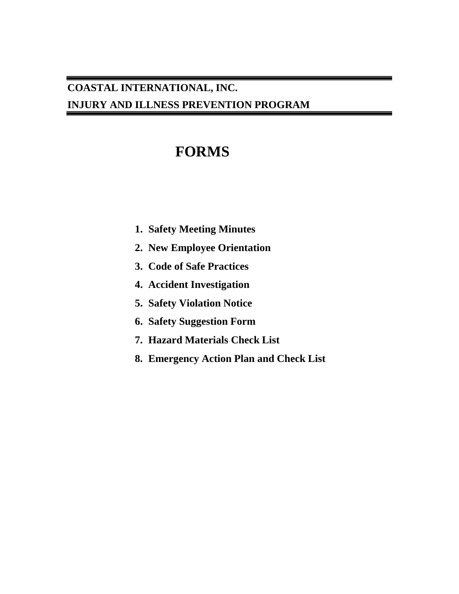# **FORMS**

- **1. Safety Meeting Minutes**
- **2. New Employee Orientation**
- **3. Code of Safe Practices**
- **4. Accident Investigation**
- **5. Safety Violation Notice**
- **6. Safety Suggestion Form**
- **7. Hazard Materials Check List**
- **8. Emergency Action Plan and Check List**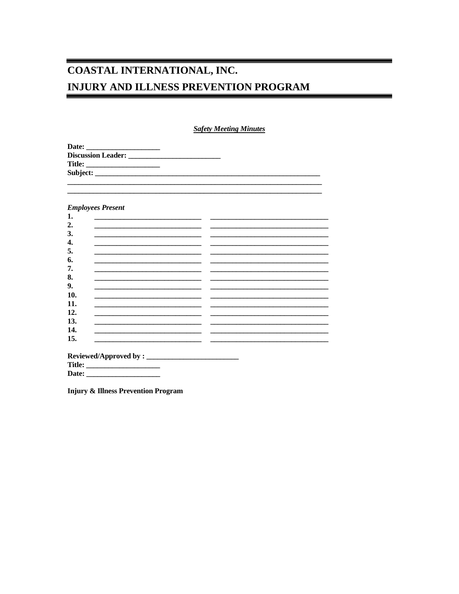**Safety Meeting Minutes** 

| Date:                     |  |  |
|---------------------------|--|--|
| <b>Discussion Leader:</b> |  |  |
| <b>Title:</b>             |  |  |
|                           |  |  |
|                           |  |  |

#### **Employees Present**

**Injury & Illness Prevention Program**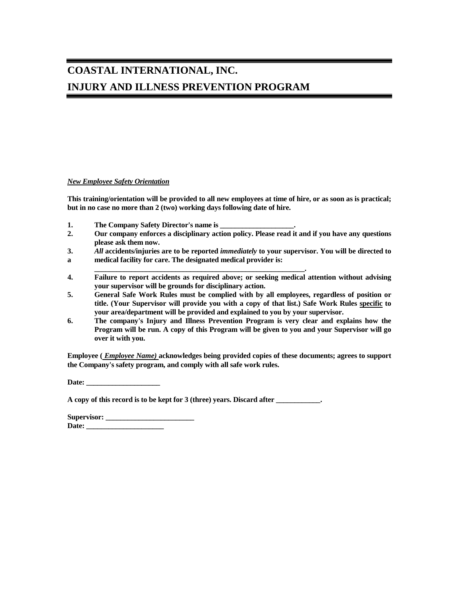#### *New Employee Safety Orientation*

**This training/orientation will be provided to all new employees at time of hire, or as soon as is practical; but in no case no more than 2 (two) working days following date of hire.**

- **1. The Company Safety Director's name is \_\_\_\_\_\_\_\_\_\_\_\_\_\_\_\_\_\_\_\_.**
- **2. Our company enforces a disciplinary action policy. Please read it and if you have any questions please ask them now.**
- **3.** *All* **accidents/injuries are to be reported** *immediately* **to your supervisor. You will be directed to**
- **a medical facility for care. The designated medical provider is:**
- **\_\_\_\_\_\_\_\_\_\_\_\_\_\_\_\_\_\_\_\_\_\_\_\_\_\_\_\_\_\_\_\_\_\_\_\_\_\_\_\_\_\_\_\_\_\_\_\_\_\_\_\_\_\_\_\_\_. 4. Failure to report accidents as required above; or seeking medical attention without advising your supervisor will be grounds for disciplinary action.**
- **5. General Safe Work Rules must be complied with by all employees, regardless of position or title. (Your Supervisor will provide you with a copy of that list.) Safe Work Rules specific to your area/department will be provided and explained to you by your supervisor.**
- **6. The company's Injury and Illness Prevention Program is very clear and explains how the Program will be run. A copy of this Program will be given to you and your Supervisor will go over it with you.**

**Employee (** *Employee Name)* **acknowledges being provided copies of these documents; agrees to support the Company's safety program, and comply with all safe work rules.** 

**Date: \_\_\_\_\_\_\_\_\_\_\_\_\_\_\_\_\_\_\_\_**

**A copy of this record is to be kept for 3 (three) years. Discard after \_\_\_\_\_\_\_\_\_\_\_\_.**

| Supervisor: |  |
|-------------|--|
| Date:       |  |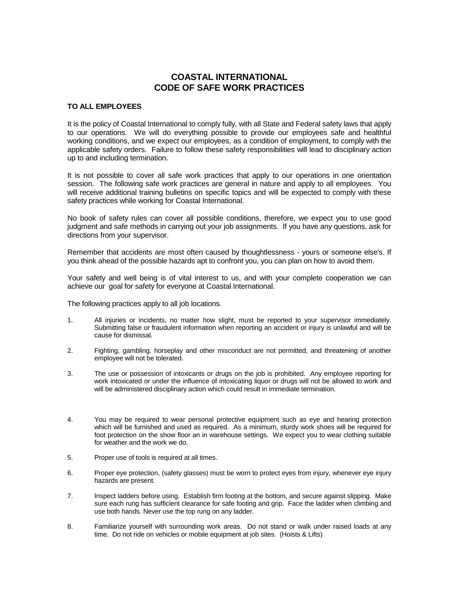#### **COASTAL INTERNATIONAL CODE OF SAFE WORK PRACTICES**

#### **TO ALL EMPLOYEES**

It is the policy of Coastal International to comply fully, with all State and Federal safety laws that apply to our operations. We will do everything possible to provide our employees safe and healthful working conditions, and we expect our employees, as a condition of employment, to comply with the applicable safety orders. Failure to follow these safety responsibilities will lead to disciplinary action up to and including termination.

It is not possible to cover all safe work practices that apply to our operations in one orientation session. The following safe work practices are general in nature and apply to all employees. You will receive additional training bulletins on specific topics and will be expected to comply with these safety practices while working for Coastal International.

No book of safety rules can cover all possible conditions, therefore, we expect you to use good judgment and safe methods in carrying out your job assignments. If you have any questions, ask for directions from your supervisor.

Remember that accidents are most often caused by thoughtlessness - yours or someone else's. If you think ahead of the possible hazards apt to confront you, you can plan on how to avoid them.

Your safety and well being is of vital interest to us, and with your complete cooperation we can achieve our goal for safety for everyone at Coastal International.

The following practices apply to all job locations.

- 1. All injuries or incidents, no matter how slight, must be reported to your supervisor immediately. Submitting false or fraudulent information when reporting an accident or injury is unlawful and will be cause for dismissal.
- 2. Fighting, gambling, horseplay and other misconduct are not permitted, and threatening of another employee will not be tolerated.
- 3. The use or possession of intoxicants or drugs on the job is prohibited. Any employee reporting for work intoxicated or under the influence of intoxicating liquor or drugs will not be allowed to work and will be administered disciplinary action which could result in immediate termination.
- 4. You may be required to wear personal protective equipment such as eye and hearing protection which will be furnished and used as required. As a minimum, sturdy work shoes will be required for foot protection on the show floor an in warehouse settings. We expect you to wear clothing suitable for weather and the work we do.
- 5. Proper use of tools is required at all times.
- 6. Proper eye protection, (safety glasses) must be worn to protect eyes from injury, whenever eye injury hazards are present.
- 7. Inspect ladders before using. Establish firm footing at the bottom, and secure against slipping. Make sure each rung has sufficient clearance for safe footing and grip. Face the ladder when climbing and use both hands. Never use the top rung on any ladder.
- 8. Familiarize yourself with surrounding work areas. Do not stand or walk under raised loads at any time. Do not ride on vehicles or mobile equipment at job sites. (Hoists & Lifts)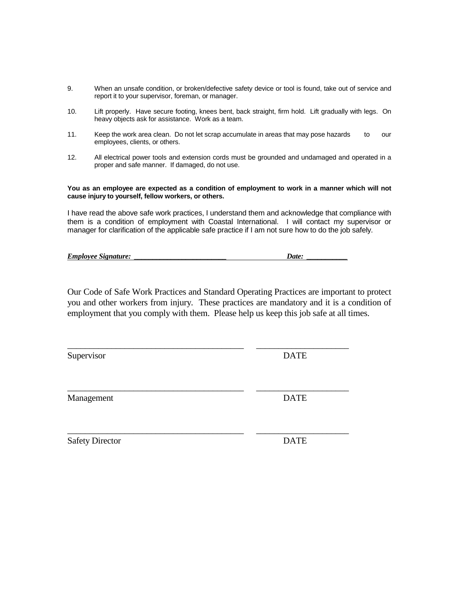- 9. When an unsafe condition, or broken/defective safety device or tool is found, take out of service and report it to your supervisor, foreman, or manager.
- 10. Lift properly. Have secure footing, knees bent, back straight, firm hold. Lift gradually with legs. On heavy objects ask for assistance. Work as a team.
- 11. Keep the work area clean. Do not let scrap accumulate in areas that may pose hazards to our employees, clients, or others.
- 12. All electrical power tools and extension cords must be grounded and undamaged and operated in a proper and safe manner. If damaged, do not use.

**You as an employee are expected as a condition of employment to work in a manner which will not cause injury to yourself, fellow workers, or others.**

I have read the above safe work practices, I understand them and acknowledge that compliance with them is a condition of employment with Coastal International. I will contact my supervisor or manager for clarification of the applicable safe practice if I am not sure how to do the job safely.

| <b>Employee Signature:</b> | Date: |
|----------------------------|-------|
|                            |       |

Our Code of Safe Work Practices and Standard Operating Practices are important to protect you and other workers from injury. These practices are mandatory and it is a condition of employment that you comply with them. Please help us keep this job safe at all times.

\_\_\_\_\_\_\_\_\_\_\_\_\_\_\_\_\_\_\_\_\_\_\_\_\_\_\_\_\_\_\_\_\_\_\_\_\_\_\_\_ \_\_\_\_\_\_\_\_\_\_\_\_\_\_\_\_\_\_\_\_\_

\_\_\_\_\_\_\_\_\_\_\_\_\_\_\_\_\_\_\_\_\_\_\_\_\_\_\_\_\_\_\_\_\_\_\_\_\_\_\_\_ \_\_\_\_\_\_\_\_\_\_\_\_\_\_\_\_\_\_\_\_\_

Supervisor DATE

Management DATE

\_\_\_\_\_\_\_\_\_\_\_\_\_\_\_\_\_\_\_\_\_\_\_\_\_\_\_\_\_\_\_\_\_\_\_\_\_\_\_\_ \_\_\_\_\_\_\_\_\_\_\_\_\_\_\_\_\_\_\_\_\_ Safety Director DATE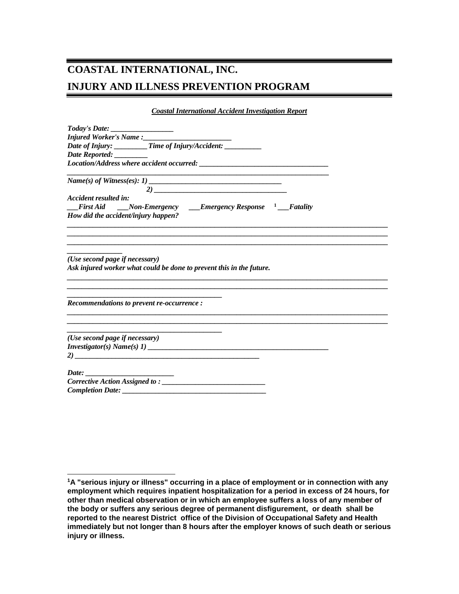*Coastal International Accident Investigation Report*

| Today's Date: __________________                                                                                                                              |  |
|---------------------------------------------------------------------------------------------------------------------------------------------------------------|--|
|                                                                                                                                                               |  |
| Date of Injury: ________Time of Injury/Accident: __________                                                                                                   |  |
|                                                                                                                                                               |  |
|                                                                                                                                                               |  |
|                                                                                                                                                               |  |
| Accident resulted in:                                                                                                                                         |  |
| <b>First Aid</b> _____Non-Emergency ______Emergency Response <sup>1</sup> ____Fatality                                                                        |  |
| How did the accident/injury happen?                                                                                                                           |  |
|                                                                                                                                                               |  |
|                                                                                                                                                               |  |
| (Use second page if necessary)<br>Ask injured worker what could be done to prevent this in the future.                                                        |  |
|                                                                                                                                                               |  |
|                                                                                                                                                               |  |
|                                                                                                                                                               |  |
| Recommendations to prevent re-occurrence :<br>and the state of the state of the state of the state of the state of the state of the state of the state of the |  |
| (Use second page if necessary)                                                                                                                                |  |
|                                                                                                                                                               |  |
|                                                                                                                                                               |  |
|                                                                                                                                                               |  |
|                                                                                                                                                               |  |

 $\overline{a}$ 

<span id="page-14-0"></span>**<sup>1</sup>A "serious injury or illness" occurring in a place of employment or in connection with any employment which requires inpatient hospitalization for a period in excess of 24 hours, for other than medical observation or in which an employee suffers a loss of any member of the body or suffers any serious degree of permanent disfigurement, or death shall be reported to the nearest District office of the Division of Occupational Safety and Health immediately but not longer than 8 hours after the employer knows of such death or serious injury or illness.**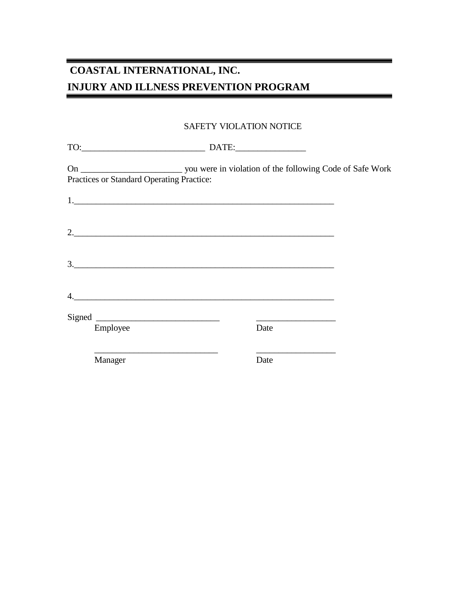Ξ

### SAFETY VIOLATION NOTICE

|    | Practices or Standard Operating Practice: |      |  |
|----|-------------------------------------------|------|--|
|    |                                           |      |  |
|    | 2.                                        |      |  |
|    | $\frac{1}{2}$                             |      |  |
| 4. |                                           |      |  |
|    |                                           |      |  |
|    | Employee                                  | Date |  |
|    | Manager                                   | Date |  |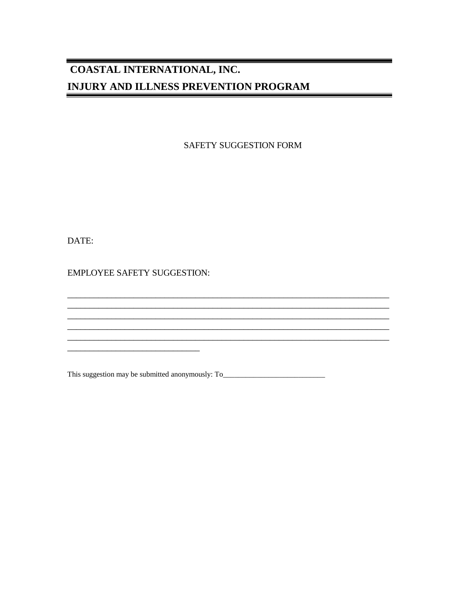SAFETY SUGGESTION FORM

<u> 1989 - Johann Stoff, amerikansk politiker (d. 1989)</u>

DATE:

**EMPLOYEE SAFETY SUGGESTION:** 

This suggestion may be submitted anonymously: To\_\_\_\_\_\_\_\_\_\_\_\_\_\_\_\_\_\_\_\_\_\_\_\_\_\_\_\_\_\_\_\_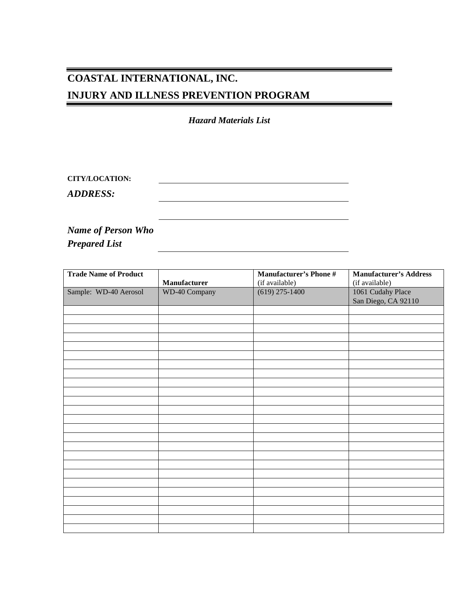*Hazard Materials List*

| <b>CITY/LOCATION:</b> |  |  |
|-----------------------|--|--|
| <b>ADDRESS:</b>       |  |  |
|                       |  |  |
|                       |  |  |

*Name of Person Who Prepared List*

| <b>Trade Name of Product</b> |                      | <b>Manufacturer's Phone #</b> | <b>Manufacturer's Address</b> |
|------------------------------|----------------------|-------------------------------|-------------------------------|
|                              | Manufacturer         | (if available)                | (if available)                |
| Sample: WD-40 Aerosol        | <b>WD-40 Company</b> | $(619)$ 275-1400              | 1061 Cudahy Place             |
|                              |                      |                               | San Diego, CA 92110           |
|                              |                      |                               |                               |
|                              |                      |                               |                               |
|                              |                      |                               |                               |
|                              |                      |                               |                               |
|                              |                      |                               |                               |
|                              |                      |                               |                               |
|                              |                      |                               |                               |
|                              |                      |                               |                               |
|                              |                      |                               |                               |
|                              |                      |                               |                               |
|                              |                      |                               |                               |
|                              |                      |                               |                               |
|                              |                      |                               |                               |
|                              |                      |                               |                               |
|                              |                      |                               |                               |
|                              |                      |                               |                               |
|                              |                      |                               |                               |
|                              |                      |                               |                               |
|                              |                      |                               |                               |
|                              |                      |                               |                               |
|                              |                      |                               |                               |
|                              |                      |                               |                               |
|                              |                      |                               |                               |
|                              |                      |                               |                               |
|                              |                      |                               |                               |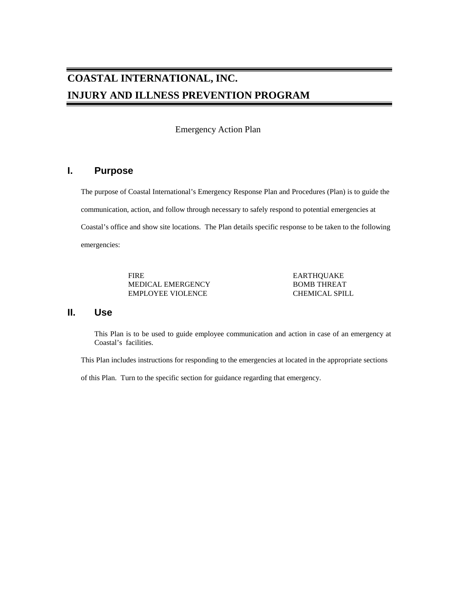Emergency Action Plan

### **I. Purpose**

The purpose of Coastal International's Emergency Response Plan and Procedures (Plan) is to guide the communication, action, and follow through necessary to safely respond to potential emergencies at Coastal's office and show site locations. The Plan details specific response to be taken to the following emergencies:

> FIRE EARTHQUAKE MEDICAL EMERGENCY FIRE BOMB THREAT MEDICAL EMERGENCY EMPLOYEE VIOLENCE CHEMICAL SPILL

#### **II. Use**

This Plan is to be used to guide employee communication and action in case of an emergency at Coastal's facilities.

This Plan includes instructions for responding to the emergencies at located in the appropriate sections

of this Plan. Turn to the specific section for guidance regarding that emergency.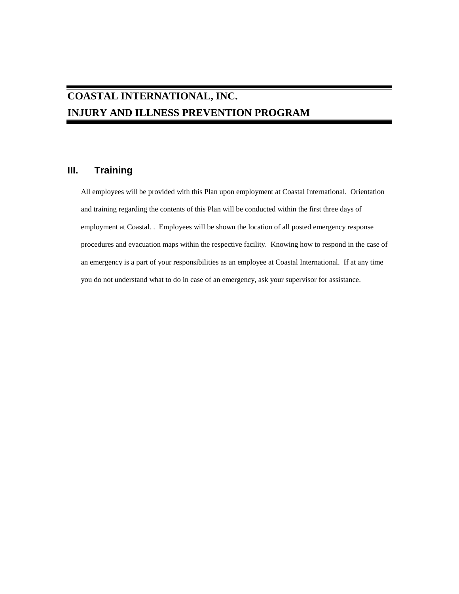### **III. Training**

All employees will be provided with this Plan upon employment at Coastal International. Orientation and training regarding the contents of this Plan will be conducted within the first three days of employment at Coastal. . Employees will be shown the location of all posted emergency response procedures and evacuation maps within the respective facility. Knowing how to respond in the case of an emergency is a part of your responsibilities as an employee at Coastal International. If at any time you do not understand what to do in case of an emergency, ask your supervisor for assistance.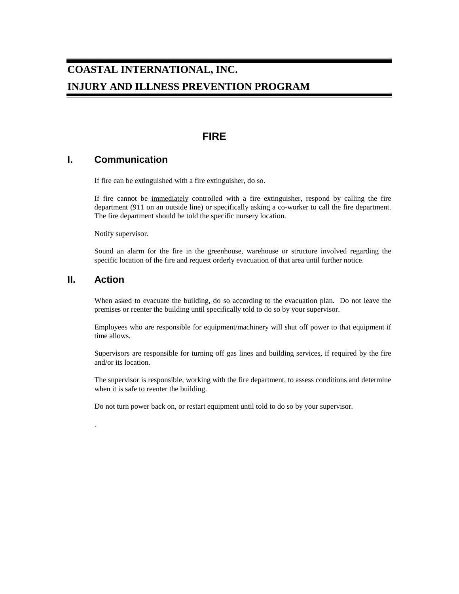### **FIRE**

### **I. Communication**

If fire can be extinguished with a fire extinguisher, do so.

If fire cannot be immediately controlled with a fire extinguisher, respond by calling the fire department (911 on an outside line) or specifically asking a co-worker to call the fire department. The fire department should be told the specific nursery location.

Notify supervisor.

Sound an alarm for the fire in the greenhouse, warehouse or structure involved regarding the specific location of the fire and request orderly evacuation of that area until further notice.

#### **II. Action**

.

When asked to evacuate the building, do so according to the evacuation plan. Do not leave the premises or reenter the building until specifically told to do so by your supervisor.

Employees who are responsible for equipment/machinery will shut off power to that equipment if time allows.

Supervisors are responsible for turning off gas lines and building services, if required by the fire and/or its location.

The supervisor is responsible, working with the fire department, to assess conditions and determine when it is safe to reenter the building.

Do not turn power back on, or restart equipment until told to do so by your supervisor.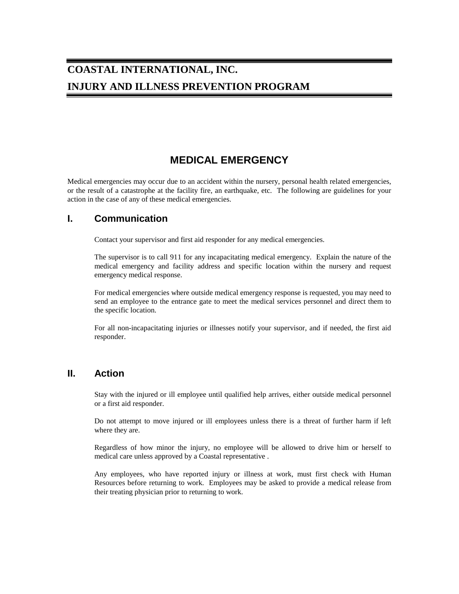### **MEDICAL EMERGENCY**

Medical emergencies may occur due to an accident within the nursery, personal health related emergencies, or the result of a catastrophe at the facility fire, an earthquake, etc. The following are guidelines for your action in the case of any of these medical emergencies.

#### **I. Communication**

Contact your supervisor and first aid responder for any medical emergencies.

The supervisor is to call 911 for any incapacitating medical emergency. Explain the nature of the medical emergency and facility address and specific location within the nursery and request emergency medical response.

For medical emergencies where outside medical emergency response is requested, you may need to send an employee to the entrance gate to meet the medical services personnel and direct them to the specific location.

For all non-incapacitating injuries or illnesses notify your supervisor, and if needed, the first aid responder.

#### **II. Action**

Stay with the injured or ill employee until qualified help arrives, either outside medical personnel or a first aid responder.

Do not attempt to move injured or ill employees unless there is a threat of further harm if left where they are.

Regardless of how minor the injury, no employee will be allowed to drive him or herself to medical care unless approved by a Coastal representative .

Any employees, who have reported injury or illness at work, must first check with Human Resources before returning to work. Employees may be asked to provide a medical release from their treating physician prior to returning to work.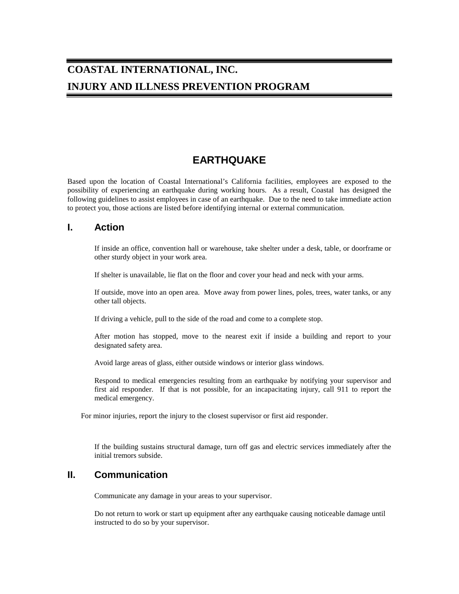### **EARTHQUAKE**

Based upon the location of Coastal International's California facilities, employees are exposed to the possibility of experiencing an earthquake during working hours. As a result, Coastal has designed the following guidelines to assist employees in case of an earthquake. Due to the need to take immediate action to protect you, those actions are listed before identifying internal or external communication.

#### **I. Action**

If inside an office, convention hall or warehouse, take shelter under a desk, table, or doorframe or other sturdy object in your work area.

If shelter is unavailable, lie flat on the floor and cover your head and neck with your arms.

If outside, move into an open area. Move away from power lines, poles, trees, water tanks, or any other tall objects.

If driving a vehicle, pull to the side of the road and come to a complete stop.

After motion has stopped, move to the nearest exit if inside a building and report to your designated safety area.

Avoid large areas of glass, either outside windows or interior glass windows.

Respond to medical emergencies resulting from an earthquake by notifying your supervisor and first aid responder. If that is not possible, for an incapacitating injury, call 911 to report the medical emergency.

For minor injuries, report the injury to the closest supervisor or first aid responder.

If the building sustains structural damage, turn off gas and electric services immediately after the initial tremors subside.

### **II. Communication**

Communicate any damage in your areas to your supervisor.

Do not return to work or start up equipment after any earthquake causing noticeable damage until instructed to do so by your supervisor.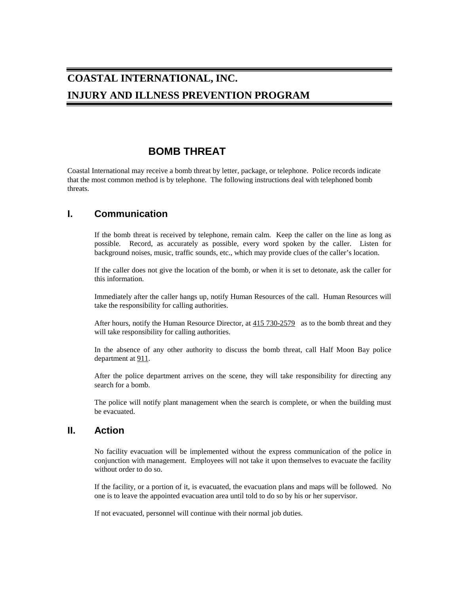### **BOMB THREAT**

Coastal International may receive a bomb threat by letter, package, or telephone. Police records indicate that the most common method is by telephone. The following instructions deal with telephoned bomb threats.

### **I. Communication**

If the bomb threat is received by telephone, remain calm. Keep the caller on the line as long as possible. Record, as accurately as possible, every word spoken by the caller. Listen for background noises, music, traffic sounds, etc., which may provide clues of the caller's location.

If the caller does not give the location of the bomb, or when it is set to detonate, ask the caller for this information.

Immediately after the caller hangs up, notify Human Resources of the call. Human Resources will take the responsibility for calling authorities.

After hours, notify the Human Resource Director, at 415 730-2579 as to the bomb threat and they will take responsibility for calling authorities.

In the absence of any other authority to discuss the bomb threat, call Half Moon Bay police department at 911.

After the police department arrives on the scene, they will take responsibility for directing any search for a bomb.

The police will notify plant management when the search is complete, or when the building must be evacuated.

#### **II. Action**

No facility evacuation will be implemented without the express communication of the police in conjunction with management. Employees will not take it upon themselves to evacuate the facility without order to do so.

If the facility, or a portion of it, is evacuated, the evacuation plans and maps will be followed. No one is to leave the appointed evacuation area until told to do so by his or her supervisor.

If not evacuated, personnel will continue with their normal job duties.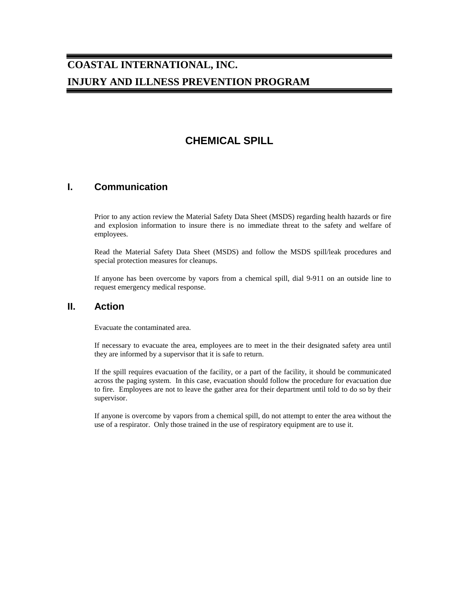### **CHEMICAL SPILL**

### **I. Communication**

Prior to any action review the Material Safety Data Sheet (MSDS) regarding health hazards or fire and explosion information to insure there is no immediate threat to the safety and welfare of employees.

Read the Material Safety Data Sheet (MSDS) and follow the MSDS spill/leak procedures and special protection measures for cleanups.

If anyone has been overcome by vapors from a chemical spill, dial 9-911 on an outside line to request emergency medical response.

#### **II. Action**

Evacuate the contaminated area.

If necessary to evacuate the area, employees are to meet in the their designated safety area until they are informed by a supervisor that it is safe to return.

If the spill requires evacuation of the facility, or a part of the facility, it should be communicated across the paging system. In this case, evacuation should follow the procedure for evacuation due to fire. Employees are not to leave the gather area for their department until told to do so by their supervisor.

If anyone is overcome by vapors from a chemical spill, do not attempt to enter the area without the use of a respirator. Only those trained in the use of respiratory equipment are to use it.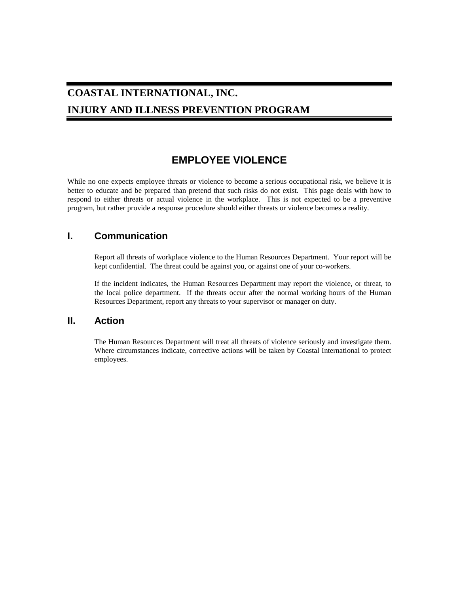### **EMPLOYEE VIOLENCE**

While no one expects employee threats or violence to become a serious occupational risk, we believe it is better to educate and be prepared than pretend that such risks do not exist. This page deals with how to respond to either threats or actual violence in the workplace. This is not expected to be a preventive program, but rather provide a response procedure should either threats or violence becomes a reality.

### **I. Communication**

Report all threats of workplace violence to the Human Resources Department. Your report will be kept confidential. The threat could be against you, or against one of your co-workers.

If the incident indicates, the Human Resources Department may report the violence, or threat, to the local police department. If the threats occur after the normal working hours of the Human Resources Department, report any threats to your supervisor or manager on duty.

#### **II. Action**

The Human Resources Department will treat all threats of violence seriously and investigate them. Where circumstances indicate, corrective actions will be taken by Coastal International to protect employees.